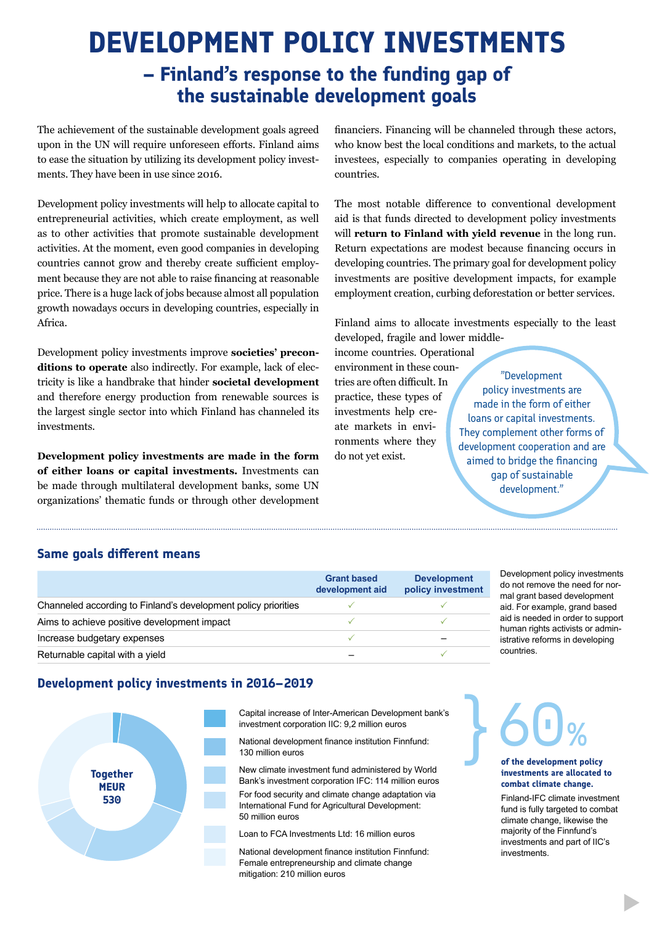# **DEVELOPMENT POLICY INVESTMENTS**

**– Finland's response to the funding gap of the sustainable development goals** 

The achievement of the sustainable development goals agreed upon in the UN will require unforeseen efforts. Finland aims to ease the situation by utilizing its development policy investments. They have been in use since 2016.

Development policy investments will help to allocate capital to entrepreneurial activities, which create employment, as well as to other activities that promote sustainable development activities. At the moment, even good companies in developing countries cannot grow and thereby create sufficient employment because they are not able to raise financing at reasonable price. There is a huge lack of jobs because almost all population growth nowadays occurs in developing countries, especially in Africa.

Development policy investments improve **societies' preconditions to operate** also indirectly. For example, lack of electricity is like a handbrake that hinder **societal development**  and therefore energy production from renewable sources is the largest single sector into which Finland has channeled its investments.

**Development policy investments are made in the form of either loans or capital investments.** Investments can be made through multilateral development banks, some UN organizations' thematic funds or through other development financiers. Financing will be channeled through these actors, who know best the local conditions and markets, to the actual investees, especially to companies operating in developing countries.

The most notable difference to conventional development aid is that funds directed to development policy investments will **return to Finland with yield revenue** in the long run. Return expectations are modest because financing occurs in developing countries. The primary goal for development policy investments are positive development impacts, for example employment creation, curbing deforestation or better services.

Finland aims to allocate investments especially to the least developed, fragile and lower middle-

income countries. Operational environment in these countries are often difficult. In practice, these types of investments help create markets in environments where they do not yet exist.

"Development policy investments are made in the form of either loans or capital investments. They complement other forms of development cooperation and are aimed to bridge the financing gap of sustainable development."

# **Same goals different means**

|                                                                | <b>Grant based</b><br>development aid | <b>Development</b><br>policy investment |
|----------------------------------------------------------------|---------------------------------------|-----------------------------------------|
| Channeled according to Finland's development policy priorities |                                       |                                         |
| Aims to achieve positive development impact                    |                                       |                                         |
| Increase budgetary expenses                                    |                                       |                                         |
| Returnable capital with a yield                                |                                       |                                         |

Development policy investments do not remove the need for normal grant based development aid. For example, grand based aid is needed in order to support human rights activists or administrative reforms in developing countries.

# **Development policy investments in 2016–2019**



Capital increase of Inter-American Development bank's investment corporation IIC: 9,2 million euros

National development finance institution Finnfund: 130 million euros

New climate investment fund administered by World Bank's investment corporation IFC: 114 million euros For food security and climate change adaptation via

International Fund for Agricultural Development: 50 million euros

Loan to FCA Investments Ltd: 16 million euros

National development finance institution Finnfund: Female entrepreneurship and climate change mitigation: 210 million euros

60% }

#### **of the development policy investments are allocated to combat climate change.**

Finland-IFC climate investment fund is fully targeted to combat climate change, likewise the majority of the Finnfund's investments and part of IIC's investments.